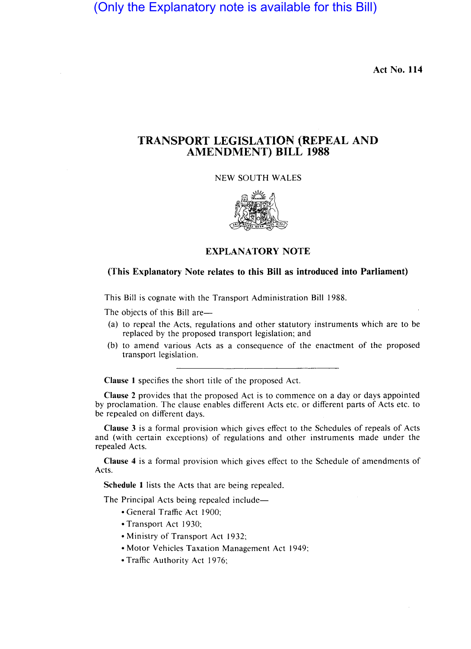(Only the Explanatory note is available for this Bill)

Act No. 114

# TRANSPORT LEGISLATION (REPEAL AND AMENDMENT) BILL 1988

NEW SOUTH WALES



## EXPLANATORY NOTE

### (This Explanatory Note relates to this Bill as introduced into Parliament)

This Bill is cognate with the Transport Administration Bill 1988.

The objects of this Bill are-

- (a) to repeal the Acts, regulations and other statutory instruments which are to be replaced by the proposed transport legislation; and
- (b) to amend various Acts as a consequence of the enactment of the proposed transport legislation.

Clause 1 specifies the short title of the proposed Act.

Clause 2 provides that the proposed Act is to commence on a day or days appointed by proclamation. The clause enables different Acts etc. or different parts of Acts etc. to be repealed on different days.

Clause 3 is a formal provision which gives effect to the Schedules of repeals of Acts and (with certain exceptions) of regulations and other instruments made under the repealed Acts.

Clause 4 is a formal provision which gives effect to the Schedule of amendments of Acts.

Schedule 1 lists the Acts that are being repealed.

The Principal Acts being repealed include-

- General Traffic Act 1900;
- Transport Act 1930;
- Ministry of Transport Act 1932;
- Motor Vehicles Taxation Management Act 1949;
- Traffic Authority Act 1976;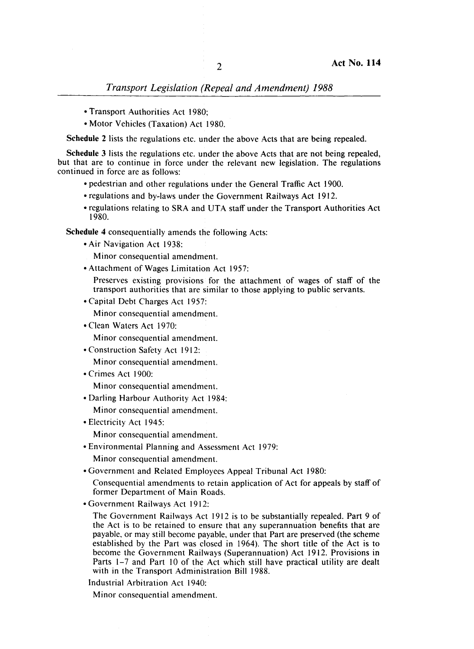**Transport Legislation (Repeal and Amendment) 1988** 

- Transport Authorities Act 1989;
- Motor Vehicles (Taxation) Act 1980.

Schedule 2 lists the regulations etc. under the above Acts that are being repealed.

Schedule 3 lists the regulations etc. under the above Acts that are not being repealed, but that are to continue in force under the relevant new legislation. The regulations continued in force are as follows:

- pedestrian and other regulations under the General Traffic Act 1900.
- regulations and by-laws under the Government Railways Act 1912.
- regulations relating to SRA and UTA staff under the Transport Authorities Act 1980.

Schedule 4 consequentially amends the following Acts:

- Air Navigation Act 1938:
- Minor consequential amendment.
- Attachment of Wages Limitation Act 1957:

Preserves existing provisions for the attachment of wages of staff of the transport authorities that are similar to those applying to public servants.

• Capital Debt Charges Act 1957:

Minor consequential amendment.

• Clean Waters Act 1970:

Minor consequential amendment.

- Construction Safety Act 1912: Minor consequential amendment.
- Crimes Act 1900:

Minor consequential amendment.

• Darling Harbour Authority Act 1984:

Minor consequential amendment.

• Electricity Act 1945: 1

Minor consequential amendment.

- Environmental Planning and Assessment Act 1979:
	- Minor consequential amendment.
- Government and Related Employees Appeal Tribunal Act 1980:
	- Consequential amendments to retain application of Act for appeals by staff of former Department of Main Roads.
- Government Railways Act 1912:

The Government Railways Act 1912 is to be substantially repealed. Part 9 of the Act is to be retained to ensure that any superannuation benefits that are payable, or may still become payable, under that Part are preserved (the scheme established by the Part was closed in 1964). The short title of the Act is to become the Government Railways (Superannuation) Act 1912. Provisions in Parts  $1-7$  and Part 10 of the Act which still have practical utility are dealt with in the Transport Administration Bill 1988.

Industrial Arbitration Act 1940: 1

Minor consequential amendment.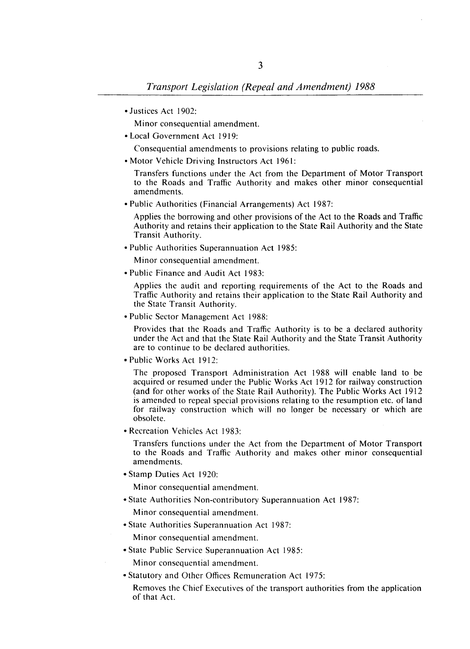• Justices Act 1902:

Minor consequential amendment.

• Local Government Act 1919:

Consequential amendments to provisions relating to public roads.

• Motor Vehicle Driving Instructors Act 1961:

Transfers functions under the Act from the Department of Motor Transport to the Roads and Traffic Authority and makes other minor consequential amendments.

• Public Authorities (Financial Arrangements) Act 1987:

Applies the borrowing and other provisions of the Act to the Roads and Traffic Authority and retains their application to the State Rail Authority and the State Transit Authority.

• Public Authorities Superannuation Act 1985:

Minor consequential amendment.

• Public Finance and Audit Act 1983:

Applies the audit and reporting requirements of the Act to the Roads and Traffic Authority and retains their application to the State Rail Authority and the State Transit Authority.

• Public Sector Management Act 1988:

Provides that the Roads and Traffic Authority is to be a declared authority under the Act and that the State Rail Authority and the State Transit Authority are to continue to be declared authorities.

• Public Works Act 1912:

The proposed Transport Administration Act 1988 will enable land to be acquired or resumed under the Public Works Act 1912 for railway construction (and for other works of the State Rail Authority). The Public Works Act 1912 is amended to repeal special provisions relating to the resumption etc. of land for railway construction which will no longer be necessary or which are obsolete.

• Recreation Vehicles Act 1983:

Transfers functions under the Act from the Department of Motor Transport to the Roads and Traffic Authority and makes other minor consequential amendments.

• Stamp Duties Act 1920:

Minor consequential amendment.

• State Authorities Non-contributory Superannuation Act 1987:

Minor consequential amendment.

• State Authorities Superannuation Act 1987:

Minor consequential amendment.

• State Public Service Superannuation Act 1985:

Minor consequential amendment.

- Statutory and Other Offices Remuneration Act 1975:
	- Removes the Chief Executives of the transport authorities from the application of that Act.